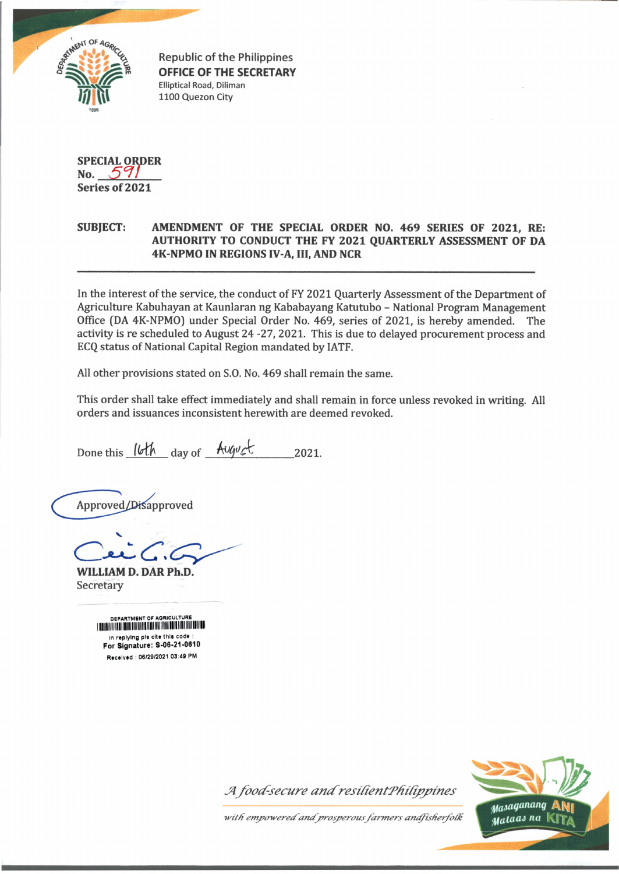

Republic of the Philippines **OFFICE OF THE SECRETARY** Elliptical Road, Diliman 1100 Quezon City

**SPECIAL ORDER No.** *S W* **Series of 2021**

## **SUBJECT: AMENDMENT OF THE SPECIAL ORDER NO. 469 SERIES OF 2021, RE: AUTHORITY TO CONDUCT THE FY 2021 QUARTERLY ASSESSMENT OF DA 4K-NPM0 IN REGIONS IV-A, III, AND NCR**

In the interest of the service, the conduct of FY 2021 Quarterly Assessment of the Department of Agriculture Kabuhayan at Kaunlaran ng Kababayang Katutubo - National Program Management Office (DA 4K-NPMO) under Special Order No. 469, series of 2021, is hereby amended. The activity is re scheduled to August 24 -27, 2021. This is due to delayed procurement process and ECQ status of National Capital Region mandated by IATF.

All other provisions stated on S.O. No. 469 shall remain the same.

This order shall take effect immediately and shall remain in force unless revoked in writing. All orders and issuances inconsistent herewith are deemed revoked.

Done this  $16th$  day of  $A \cup \emptyset \cup C$  2021.

Approved/Disapproved

**WILLIAM D. DAR Ph.D.** Secretary

| DEPARTMENT OF AGRICULTURE<br>I TERTIEFE II II EEN BOILE EIN IFERE II DEI II EI IE IE DE BOILE EINE II DI DEN TERT |
|-------------------------------------------------------------------------------------------------------------------|
| in replying pls cite this code :<br>For Signature: S-06-21-0610                                                   |
| Received: 06/29/2021 03:49 PM                                                                                     |



*Jlfoocf-secure ancfresilientTfiifippm es*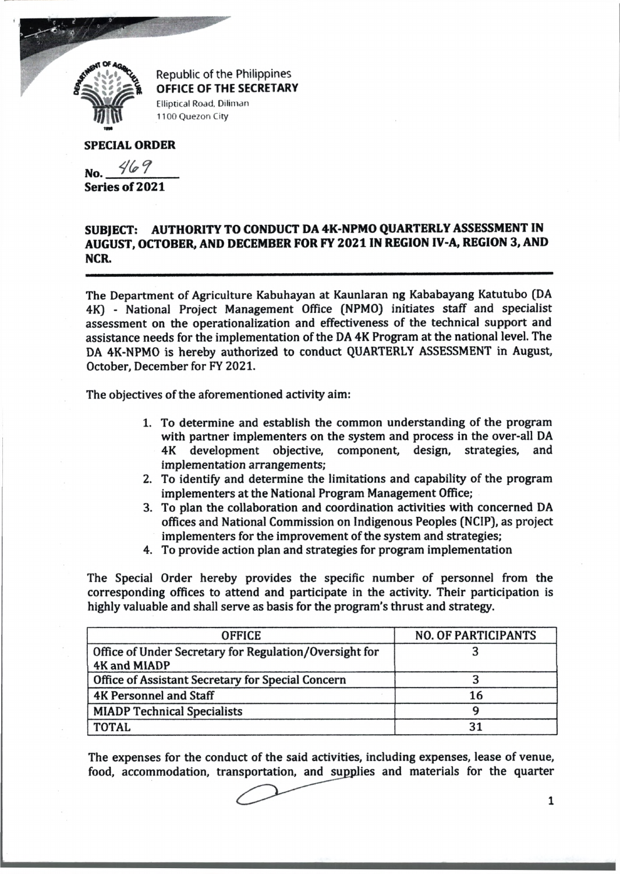

Republic of the Philippines OFFICE OF THE SECRETARY Elliptical Road, Diliman 1100 Quezon City

## **SPECIAL ORDER**

No. <u>2022</u> **Series of 2021**

**SUBJECT: AUTHORITY TO CONDUCT DA 4K-NPMO QUARTERLY ASSESSMENT IN AUGUST, OCTOBER, AND DECEMBER FOR FY 2021 IN REGION IV-A, REGION 3, AND NCR.**

The Department of Agriculture Kabuhayan at Kaunlaran ng Kababayang Katutubo (DA 4K) - National Project Management Office (NPMO) initiates staff and specialist assessment on the operationalization and effectiveness of the technical support and assistance needs for the implementation of the DA 4K Program at the national level. The DA 4K-NPM0 is hereby authorized to conduct QUARTERLY ASSESSMENT in August, October, December for FY 2021.

The objectives of the aforementioned activity aim:

- 1. To determine and establish the common understanding of the program with partner implementers on the system and process in the over-all DA 4K development objective, component, design, strategies, and implementation arrangements;
- 2. To identify and determine the limitations and capability of the program implementers at the National Program Management Office;
- 3. To plan the collaboration and coordination activities with concerned DA offices and National Commission on Indigenous Peoples (NC1P), as project implementers for the improvement of the system and strategies;
- 4. To provide action plan and strategies for program implementation

The Special Order hereby provides the specific number of personnel from the corresponding offices to attend and participate in the activity. Their participation is highly valuable and shall serve as basis for the program's thrust and strategy.

| <b>OFFICE</b>                                                          | <b>NO. OF PARTICIPANTS</b> |
|------------------------------------------------------------------------|----------------------------|
| Office of Under Secretary for Regulation/Oversight for<br>4K and MIADP |                            |
| Office of Assistant Secretary for Special Concern                      |                            |
| <b>4K Personnel and Staff</b>                                          | 16                         |
| <b>MIADP Technical Specialists</b>                                     |                            |
| <b>TOTAL</b>                                                           |                            |

The expenses for the conduct of the said activities, including expenses, lease of venue, food, accommodation, transportation, and supplies and materials for the quarter